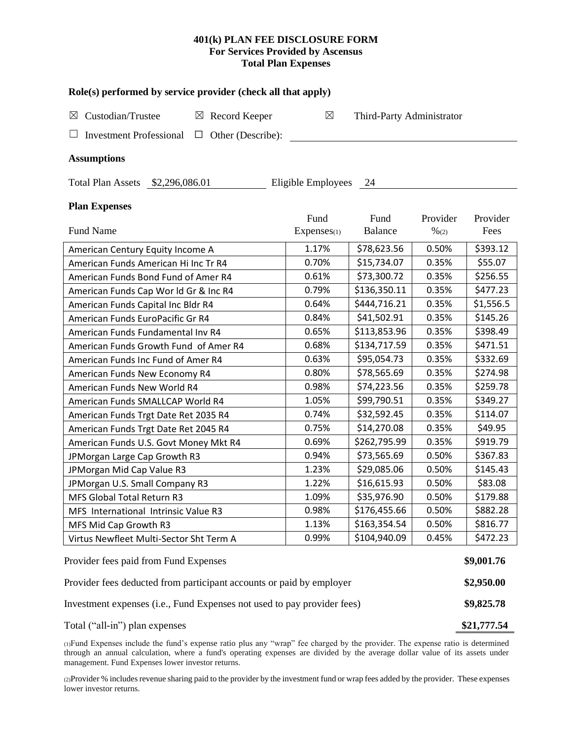## **401(k) PLAN FEE DISCLOSURE FORM For Services Provided by Ascensus Total Plan Expenses**

| Role(s) performed by service provider (check all that apply)            |                    |                           |                  |           |  |  |  |  |  |
|-------------------------------------------------------------------------|--------------------|---------------------------|------------------|-----------|--|--|--|--|--|
| Custodian/Trustee<br>$\boxtimes$ Record Keeper<br>$\boxtimes$           | $\boxtimes$        | Third-Party Administrator |                  |           |  |  |  |  |  |
| <b>Investment Professional</b><br>$\Box$ Other (Describe):              |                    |                           |                  |           |  |  |  |  |  |
|                                                                         |                    |                           |                  |           |  |  |  |  |  |
| <b>Assumptions</b>                                                      |                    |                           |                  |           |  |  |  |  |  |
| Total Plan Assets \$2,296,086.01                                        | Eligible Employees | - 24                      |                  |           |  |  |  |  |  |
| <b>Plan Expenses</b>                                                    |                    |                           |                  |           |  |  |  |  |  |
|                                                                         | Fund               | Fund                      | Provider         | Provider  |  |  |  |  |  |
| <b>Fund Name</b>                                                        | Expenses(1)        | Balance                   | $\frac{9}{6(2)}$ | Fees      |  |  |  |  |  |
| American Century Equity Income A                                        | 1.17%              | \$78,623.56               | 0.50%            | \$393.12  |  |  |  |  |  |
| American Funds American Hi Inc Tr R4                                    | 0.70%              | \$15,734.07               | 0.35%            | \$55.07   |  |  |  |  |  |
| American Funds Bond Fund of Amer R4                                     | 0.61%              | \$73,300.72               | 0.35%            | \$256.55  |  |  |  |  |  |
| American Funds Cap Wor Id Gr & Inc R4                                   | 0.79%              | \$136,350.11              | 0.35%            | \$477.23  |  |  |  |  |  |
| American Funds Capital Inc Bldr R4                                      | 0.64%              | \$444,716.21              | 0.35%            | \$1,556.5 |  |  |  |  |  |
| American Funds EuroPacific Gr R4                                        | 0.84%              | \$41,502.91               | 0.35%            | \$145.26  |  |  |  |  |  |
| American Funds Fundamental Inv R4                                       | 0.65%              | \$113,853.96              | 0.35%            | \$398.49  |  |  |  |  |  |
| American Funds Growth Fund of Amer R4                                   | 0.68%              | \$134,717.59              | 0.35%            | \$471.51  |  |  |  |  |  |
| American Funds Inc Fund of Amer R4                                      | 0.63%              | \$95,054.73               | 0.35%            | \$332.69  |  |  |  |  |  |
| American Funds New Economy R4                                           | 0.80%              | \$78,565.69               | 0.35%            | \$274.98  |  |  |  |  |  |
| American Funds New World R4                                             | 0.98%              | \$74,223.56               | 0.35%            | \$259.78  |  |  |  |  |  |
| American Funds SMALLCAP World R4                                        | 1.05%              | \$99,790.51               | 0.35%            | \$349.27  |  |  |  |  |  |
| American Funds Trgt Date Ret 2035 R4                                    | 0.74%              | \$32,592.45               | 0.35%            | \$114.07  |  |  |  |  |  |
| American Funds Trgt Date Ret 2045 R4                                    | 0.75%              | \$14,270.08               | 0.35%            | \$49.95   |  |  |  |  |  |
| American Funds U.S. Govt Money Mkt R4                                   | 0.69%              | \$262,795.99              | 0.35%            | \$919.79  |  |  |  |  |  |
| JPMorgan Large Cap Growth R3                                            | 0.94%              | \$73,565.69               | 0.50%            | \$367.83  |  |  |  |  |  |
| JPMorgan Mid Cap Value R3                                               | 1.23%              | \$29,085.06               | 0.50%            | \$145.43  |  |  |  |  |  |
| JPMorgan U.S. Small Company R3                                          | 1.22%              | \$16,615.93               | 0.50%            | \$83.08   |  |  |  |  |  |
| MFS Global Total Return R3                                              | 1.09%              | \$35,976.90               | 0.50%            | \$179.88  |  |  |  |  |  |
| MFS International Intrinsic Value R3                                    | 0.98%              | \$176,455.66              | 0.50%            | \$882.28  |  |  |  |  |  |
| MFS Mid Cap Growth R3                                                   | 1.13%              | \$163,354.54              | 0.50%            | \$816.77  |  |  |  |  |  |
| Virtus Newfleet Multi-Sector Sht Term A                                 | 0.99%              | \$104,940.09              | 0.45%            | \$472.23  |  |  |  |  |  |
| Provider fees paid from Fund Expenses                                   |                    |                           |                  |           |  |  |  |  |  |
| Provider fees deducted from participant accounts or paid by employer    |                    |                           |                  |           |  |  |  |  |  |
| Investment expenses (i.e., Fund Expenses not used to pay provider fees) |                    |                           |                  |           |  |  |  |  |  |
| Total ("all-in") plan expenses                                          |                    |                           |                  |           |  |  |  |  |  |

(1)Fund Expenses include the fund's expense ratio plus any "wrap" fee charged by the provider. The expense ratio is determined through an annual calculation, where a fund's operating expenses are divided by the average dollar value of its assets under management. Fund Expenses lower investor returns.

(2)Provider % includes revenue sharing paid to the provider by the investment fund or wrap fees added by the provider. These expenses lower investor returns.